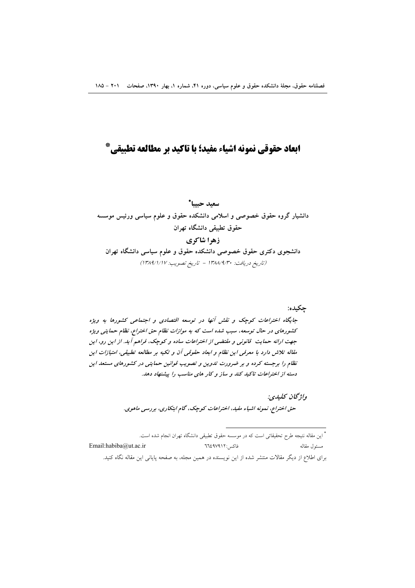# ايعاد حقوقي نمونه اشياء مفيد؛ يا تاكيد بر مطالعه تطبيقي ْ

#### سعيد حسا\*

دانشیار گروه حقوق خصوصی و اسلامی دانشکده حقوق و علوم سیاسی ورئیس موسسه حقوق تطبیقی دانشگاه تهران

### زهرا شاكري

دانشجوی دکتری حقوق خصوصی دانشکده حقوق و علوم سیاسی دانشگاه تهران (تاريخ دريافت: ١٣٨٨/٩/٣٠ - تاريخ تصويب: ١٣٨٩/١/١٧)

حكىدە:

جایگاه اختراعات کوچک و نقش آنها در توسعه اقتصادی و اجتماعی کشورها به ویژه کشورهای در حال توسعه، سبب شده است که به موازات نظام حق اختراع، نظام حمایتی ویژه جهت ارائه حمایت قانونی و مقتضی از اختراعات ساده و کوچک، فراهم آید. از این رو، این مقاله تلاش دارد با معرفی این نظام و ابعاد حقوقی آن و تکیه بر مطالعه تطبیقی، امتیازات این نظام را برجسته کرده و بر ضرورت تدوین و تصویب قوانین حمایتی در کشورهای مستعد این دسته از اختراعات تاکید کند و ساز و کار های مناسب را پیشنهاد دهد.

> واۋىچان كىلىدى: حق اختراع، نمونه اشياء مفيد، اختراعات كوچك، گام ابتكاري، بررسي ماهوي.

\* این مقاله نتیجه طرح تحقیقاتی است که در موسسه حقوق تطبیقی دانشگاه تهران انجام شده است. Email:habiba@ut.ac.ir فاكس:٥١٢: ٦٦٤٩٧٩١٢ مسئول مقاله برای اطلاع از دیگر مقالات منتشر شده از این نویسنده در همین مجله، به صفحه پایانی این مقاله نگاه کنید.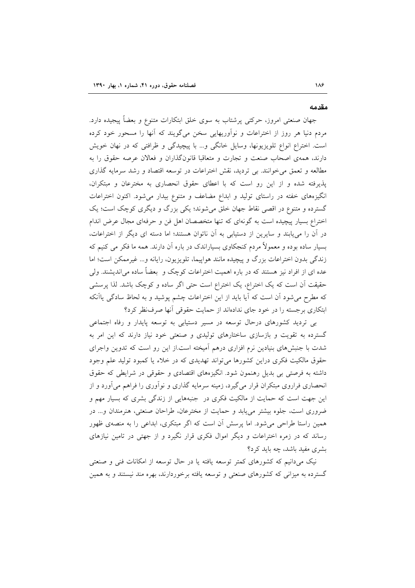#### مقدمه

جهان صنعتی امروز، حرکتی پرشتاب به سوی خلق ابتکارات متنوع و بعضاً پیجیده دارد. مردم دنیا هر روز از اختراعات و نوآوریهایی سخن میگویند که آنها را مسحور خود کرده است. اختراع انواع تلویزیونها، وسایل خانگی و... با پیچیدگی و ظرافتی که در نهان خویش دارند، همهی اصحاب صنعت و تجارت و متعاقبا قانونگذاران و فعالان عرصه حقوق را به مطالعه و تعمق میخوانند. بی تردید، نقش اختراعات در توسعه اقتصاد و رشد سرمایه گذاری پذیرفته شده و از این رو است که با اعطای حقوق انحصاری به مخترعان و مبتکران، انگیزههای خفته در راستای تولید و ابداع مضاعف و متنوع بیدار می شود. اکنون اختراعات گسترده و متنوع در اقصی نقاط جهان خلق می شوند؛ یکی بزرگ و دیگری کوچک است؛ یک اختراع بسیار پیچیده است به گونهای که تنها متخصصان اهل فن و حرفهای مجال عرض اندام در آن را مییابند و سایرین از دستیابی به آن ناتوان هستند؛ اما دسته ای دیگر از اختراعات، بسیار ساده بوده و معمولاً مردم کنجکاوی بسیاراندک در باره آن دارند. همه ما فکر می کنیم که زندگی بدون اختراعات بزرگ و پیچیده مانند هواپیما، تلویزیون، رایانه و... غیرممکن است؛ اما عده ای از افراد نیز هستند که در باره اهمیت اختراعات کوچک و بعضاً ساده می اندیشند. ولی حقیقت آن است که یک اختراع، یک اختراع است حتی اگر ساده و کوچک باشد. لذا پرسشی که مطرح میشود آن است که آیا باید از این اختراعات چشم پوشید و به لحاظ سادگی یاآنکه ابتکاری برجسته را در خود جای ندادهاند از حمایت حقوقی آنها صرف نظر کرد؟

بی تردید کشورهای درحال توسعه در مسیر دستیابی به توسعه پایدار و رفاه اجتماعی گسترده به تقویت و بازسازی ساختارهای تولیدی و صنعتی خود نیاز دارند که این امر به شدت با جنبشهای بنیادین نرم افزاری درهم آمیخته است.از این رو است که تدوین واجرای حقوق مالکیت فکری دراین کشورها میتواند تهدیدی که در خلاء یا کمبود تولید علم وجود داشته به فرصتی بی بدیل رهنمون شود. انگیزههای اقتصادی و حقوقی در شرایطی که حقوق انحصاری فراروی مبتکران قرار می گیرد، زمینه سرمایه گذاری و نوآوری را فراهم می آورد و از این جهت است که حمایت از مالکیت فکری در ِ جنبههایی از زندگی بشری که بسیار مهم و ضروری است، جلوه بیشتر می یابد و حمایت از مخترعان، طراحان صنعتی، هنرمندان و... در همین راستا طراحی می شود. اما پرسش آن است که اگر مبتکری، ابداعی را به منصهی ظهور رساند که در زمره اختراعات و دیگر اموال فکری قرار نگیرد و از جهتی در تامین نیازهای بشری مفید باشد، چه باید کرد؟

نیک میدانیم که کشورهای کمتر توسعه یافته یا در حال توسعه از امکانات فنی و صنعتی گسترده به میزانی که کشورهای صنعتی و توسعه یافته برخوردارند، بهره مند نیستند و به همین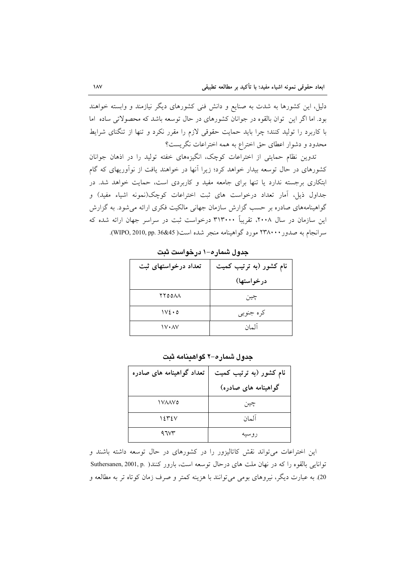دلیل، این کشورها به شدت به صنایع و دانش فنی کشورهای دیگر نیازمند و وابسته خواهند بود. اما اگر این توان بالقوه در جوانان کشورهای در حال توسعه باشد که محصولاتی ساده اما با کاربرد را تولید کنند؛ چرا باید حمایت حقوقی لازم را مقرر نکرد و تنها از تنگنای شرایط محدود و دشوار اعطای حق اختراع به همه اختراعات نگریست؟

تدوین نظام حمایتی از اختراعات کوچک، انگیزههای خفته تولید را در اذهان جوانان کشورهای در حال توسعه بیدار خواهد کرد؛ زیرا آنها در خواهند یافت از نوآوریهای که گام ابتکاری برجسته ندارد یا تنها برای جامعه مفید و کاربردی است، حمایت خواهد شد. در جداول ذیل، آمار تعداد درخواست های ثبت اختراعات کوچک(نمونه اشیاء مفید) و گواهینامههای صادره بر حسب گزارش سازمان جهانی مالکیت فکری ارائه میشود. به گزارش این سازمان در سال ۲۰۰۸، تقریباً ۳۱۳۰۰۰ درخواست ثبت در سراسر جهان ارائه شده که سرانجام به صدور ۲۳۸۰۰۰ مورد گواهینامه منجر شده است( WIPO, 2010, pp. 36&45).

| تعداد درخواستهای ثبت | نام کشور (به ترتیب کمیت |
|----------------------|-------------------------|
|                      | درخواستها)              |
| <b>YYOOAA</b>        | چين                     |
| $\sqrt{2} \cdot 0$   | كره جنوبي               |
| $V \cdot \Delta V$   | آلمان                   |

حدول شمار ه–۱ در خواست ثبت

|  | جدول شىمارە–۲ گواھينامه ثبت |  |
|--|-----------------------------|--|
|  |                             |  |

| تعداد گواهینامه های صادره | نام کشور (به ترتیب کمیت |  |
|---------------------------|-------------------------|--|
|                           | گواهینامه های صادره)    |  |
| <i><b>IVAAVO</b></i>      | چين                     |  |
| ۱٤٣٤٧                     | آلمان                   |  |
| 97V۳                      | ر و سيه                 |  |

این اختراعات می تواند نقش کاتالیزور را در کشورهای در حال توسعه داشته باشند و توانایی بالقوه را که در نهان ملت های درحال توسعه است، بارور کنند( .Suthersanen, 2001, p 20). به عبارت دیگر، نیروهای بومی می توانند با هزینه کمتر و صرف زمان کو تاه تر به مطالعه و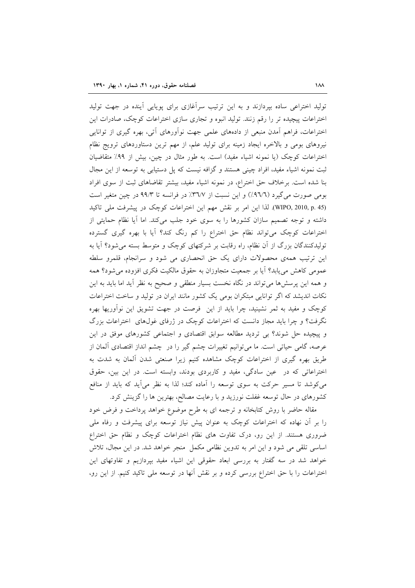تولید اختراعی ساده بیردازند و به این ترتیب سرآغازی برای پویایی آینده در جهت تولید اختراعات پیچیده تر را رقم زنند. تولید انبوه و تجاری سازی اختراعات کوچک، صادرات این اختراعات، فراهم أمدن منبعی از دادههای علمی جهت نواّورهای اّتی، بهره گیری از توانایی نیروهای بومی و بالاخره ایجاد زمینه برای تولید علم، از مهم ترین دستاوردهای ترویج نظام اختراعات کوچک (یا نمونه اشیاء مفید) است. به طور مثال در چین، بیش از ۹۹٪ متقاضیان ثبت نمونه اشیاء مفید، افراد چینی هستند و گزافه نیست که پل دستیابی به توسعه از این مجال بنا شده است. برخلاف حق اختراع، در نمونه اشیاء مفید، بیشتر تقاضاهای ثبت از سوی افراد بومی صورت می گیرد (٩٦/٦٪) و این نسبت از ٣٦/٧٪ در فرانسه تا ٩٩/٣ در چین متغیر است (WIPO, 2010, p. 45). لذا این امر بر نقش مهم این اختراعات کوچک در پیشرفت ملی تاکید داشته و توجه تصمیم سازان کشورها را به سوی خود جلب میکند. اما آیا نظام حمایتی از اختراعات کوچک می تواند نظام حق اختراع را کم رنگ کند؟ آیا با بهره گیری گسترده تولیدکنندگان بزرگ از آن نظام، راه رقابت بر شرکتهای کوچک و متوسط بسته میشود؟ آیا به این ترتیب همهی محصولات دارای یک حق انحصاری می شود و سرانجام، قلمرو سلطه عمومی کاهش می،یابد؟ آیا بر جمعیت متجاوزان به حقوق مالکیت فکری افزوده میشود؟ همه و همه این پرسشها می تواند در نگاه نخست بسیار منطقی و صحیح به نظر آید اما باید به این نکات اندیشد که اگر توانایی مبتکران بومی یک کشور مانند ایران در تولید و ساخت اختراعات کوچک و مفید به ثمر نشینید، چرا باید از این ۖ فرصت در جهت تشویق این نوآوریها بهره نگرفت؟ و چرا باید مجاز دانست که اختراعات کوچک در ژرفای غولهای اختراعات بزرگ و پیچیده حل شوند؟ بی تردید مطالعه سوابق اقتصادی و اجتماعی کشورهای موفق در این عرصه، گامی حیاتی است. ما می¤وانیم تغییرات چشم گیر را در چشم انداز اقتصادی آلمان از طریق بهره گیری از اختراعات کوچک مشاهده کنیم زیرا صنعتی شدن آلمان به شدت به اختراعاتی که در عین سادگی، مفید و کاربردی بودند، وابسته است. در این بین، حقوق می کوشد تا مسیر حرکت به سوی توسعه را اَماده کند؛ لذا به نظر میآید که باید از منافع کشورهای در حال توسعه غفلت نورزید و با رعایت مصالح، بهترین ها را گزینش کرد.

مقاله حاضر با روش کتابخانه و ترجمه ای به طرح موضوع خواهد پرداخت و فرض خود را بر آن نهاده که اختراعات کوچک به عنوان پیش نیاز توسعه برای پیشرفت و رفاه ملی ضروری هستند. از این رو، درک تفاوت های نظام اختراعات کوچک و نظام حق اختراع اساسی تلقی می شود و این امر به تدوین نظامی مکمل منجر خواهد شد. در این مجال، تلاش خواهد شد در سه گفتار به بررسی ابعاد حقوقی این اشیاء مفید بپردازیم و تفاوتهای این اختراعات را با حق اختراع بررسی کرده و بر نقش آنها در توسعه ملی تاکید کنیم. از این رو،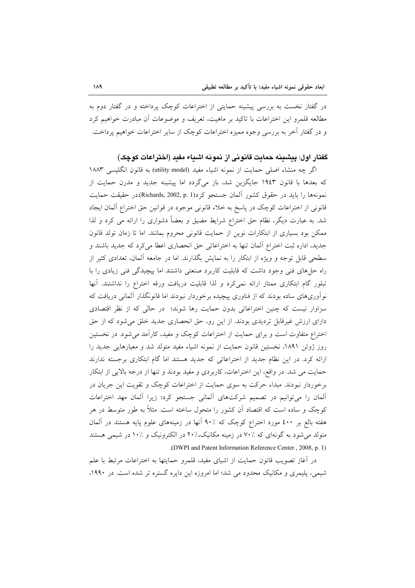در گفتار نخست به بررسی پیشینه حمایتی از اختراعات کوچک پرداخته و در گفتار دوم به مطالعه قلمرو این اختراعات با تاکید بر ماهیت، تعریف و موضوعات اَن مبادرت خواهیم کرد و در گفتار آخر به بررسی وجوه ممیزه اختراعات کوچک از سایر اختراعات خواهیم پرداخت.

### گفتار اول: ييشينه حمايت قانوني از نمونه اشياء مفيد (اختراعات كوچك)

اگر چه منشاء اصلی حمایت از نمونه اشیاء مفید (utility model) به قانون انگلیسی ۱۸۸۳ که بعدها با قانون ۱۹٤۳ جایگزین شد، باز میگردد اما پیشینه جدید و مدرن حمایت از نمونهها را بايد در حقوق كشور آلمان جستجو كرد(Richards, 2002, p. 1).در حقيقت حمايت قانونی از اختراعات کوچک در پاسخ به خلاء قانونی موجود در قوانین حق اختراع آلمان ایجاد شد. به عبارت دیگر، نظام حق اختراع شرایط مضیق و بعضاً دشواری را ارائه می کرد و لذا ممکن بود بسیاری از ابتکارات نوین از حمایت قانونی محروم بمانند. اما تا زمان تولد قانون جدید، اداره ثبت اختراع آلمان تنها به اختراعاتی حق انحصاری اعطا می کرد که جدید باشند و سطحی قابل توجه و ویژه از ابتکار را به نمایش بگذارند. اما در جامعه آلمان، تعدادی کثیر از راه حلهای فنی وجود داشت که قابلیت کاربرد صنعتی داشتند اما پیچیدگی فنی زیادی را با تبلور گام ابتکاری ممتاز ارائه نمیکرد و لذا قابلیت دریافت ورقه اختراع را نداشتند. آنها نوآوریهای ساده بودند که از فناوری پیچیده برخوردار نبودند اما قانونگذار آلمانی دریافت که سزاوار نیست که چنین اختراعاتی بدون حمایت رها شوند؛ در حالی که از نظر اقتصادی دارای ارزش غیرقابل تردیدی بودند. از این رو، حق انحصاری جدید خلق می شود که از حق اختراع متفاوت است و برای حمایت از اختراعات کوچک و مفید، کارآمد می شود. در نخستین روز ژوئن ۱۸۹۱، نخستین قانون حمایت از نمونه اشیاء مفید متولد شد و معیارهایی جدید را ارائه کرد. در این نظام جدید از اختراعاتی که جدید هستند اما گام ابتکاری برجسته ندارند حمایت می شد. در واقع، این اختراعات، کاربردی و مفید بودند و تنها از درجه بالایی از ابتکار برخوردار نبودند. مبداء حرکت به سوی حمایت از اختراعات کوچک و تقویت این جریان در آلمان را می توانیم در تصمیم شرکتهای آلمانی جستجو کرد؛ زیرا آلمان مهد اختراعات کوچک و ساده است که اقتصاد آن کشور را متحول ساخته است. مثلاً به طور متوسط در هر هفته بالغ بر ٤٠٠ مورد اختراع كوچک که ٪٩٠ آنها در زمينههاى علوم پايه هستند در آلمان متولد می شود به گونهای که ۷۰٪ در زمینه مکانیک،٪۲۰ در الکترونیک و ٪۱۰ در شیمی هستند (DWPI and Patent Information Reference Center, 2008, p. 1)

در آغاز تصویب قانون حمایت از اشیای مفید، قلمرو حمایتها به اختراعات مرتبط با علم شیمی، پلیمری و مکانیک محدود می شد؛ اما امروزه این دایره گستره تر شده است. در ۱۹۹۰،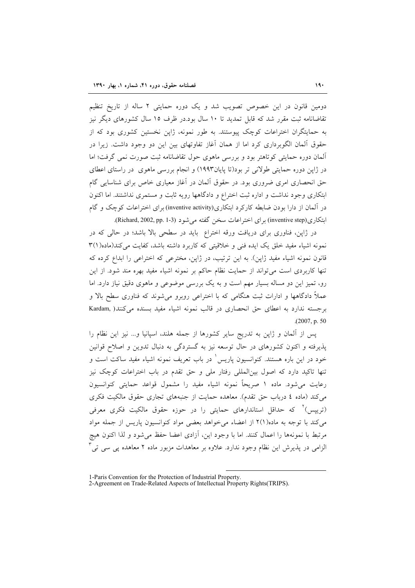دومین قانون در این خصوص تصویب شد و یک دوره حمایتی ۲ ساله از تاریخ تنظیم تقاضانامه ثبت مقرر شد که قابل تمدید تا ۱۰ سال بود.در ظرف ۱۵ سال کشورهای دیگر نیز به حمایتگران اختراعات کوچک پیوستند. به طور نمونه، ژاپن نخستین کشوری بود که از حقوق آلمان الگوبرداری کرد اما از همان آغاز تفاوتهای بین این دو وجود داشت. زیرا در آلمان دوره حمایتی کوتاهتر بود و بررسی ماهوی حول تقاضانامه ثبت صورت نمی گرفت؛ اما در ژاپن دوره حمایتی طولانی تر بود(تا پایان۱۹۹۳) و انجام بررسی ماهوی در راستای اعطای حق انحصاری امری ضروری بود. در حقوق آلمان در آغاز معیاری خاص برای شناسایی گام ابتکاری وجود نداشت و اداره ثبت اختراع و دادگاهها رویه ثابت و مستمری نداشتند. اما اکنون در آلمان از دارا بودن ضابطه کارکرد ابتکاری(inventive activity) برای اختراعات کوچک و گام ابتكاري(inventive step) براي اختراعات سخن گفته مي شود (Richard, 2002, pp. 1-3).

در ژاین، فناوری برای دریافت ورقه اختراع باید در سطحی بالا باشد؛ در حالی که در نمونه اشیاء مفید خلق یک ایده فنی و خلاقیتی که کاربرد داشته باشد، کفایت میکند(ماده(۱)۳ قانون نمونه اشیاء مفید ژاپن). به این ترتیب، در ژاپن، مخترعی که اختراعی را ابداع کرده که تنها کاربردی است می تواند از حمایت نظام حاکم بر نمونه اشیاء مفید بهره مند شود. از این رو، تمیز این دو مساله بسیار مهم است و به یک بررسی موضوعی و ماهوی دقیق نیاز دارد. اما عملاً دادگاهها و ادارات ثبت هنگامی که با اختراعی روبرو می شوند که فناوری سطح بالا و برجسته ندارد به اعطاى حق انحصارى در قالب نمونه اشياء مفيد بسنده مى كنند( Kardam,  $(2007, p. 50)$ 

پس از آلمان و ژاپن به تدریج سایر کشورها از جمله هلند، اسپانیا و... نیز این نظام را پذیرفته و اکنون کشورهای در حال توسعه نیز به گستردگی به دنبال تدوین و اصلاح قوانین خود در این باره هستند. کنوانسیون پاریس ٔ در باب تعریف نمونه اشیاء مفید ساکت است و تنها تاکید دارد که اصول بینالمللی رفتار ملی و حق تقدم در باب اختراعات کوچک نیز رعایت میشود. ماده ۱ صریحاً نمونه اشیاء مفید را مشمول قواعد حمایتی کنوانسیون می کند (ماده ٤ درباب حق تقدم). معاهده حمایت از جنبههای تجاری حقوق مالکیت فکری (ت<sub>و</sub>پیس)<sup>۲</sup> که حداقل استاندارهای حمایتی را در حوزه حقوق مالکیت فکری معرفی می کند با توجه به ماده(٢(١) از اعضاء می خواهد بعضی مواد کنوانسیون پاریس از جمله مواد مرتبط با نمونهها را اعمال كنند. اما با وجود اين، آزادى اعضا حفظ مىشود و لذا اكنون هيچ الزامی در پذیرش این نظام وجود ندارد. علاوه بر معاهدات مزبور ماده ۲ معاهده یی سی تی

<sup>1-</sup>Paris Convention for the Protection of Industrial Property.

<sup>2-</sup>Agreement on Trade-Related Aspects of Intellectual Property Rights (TRIPS).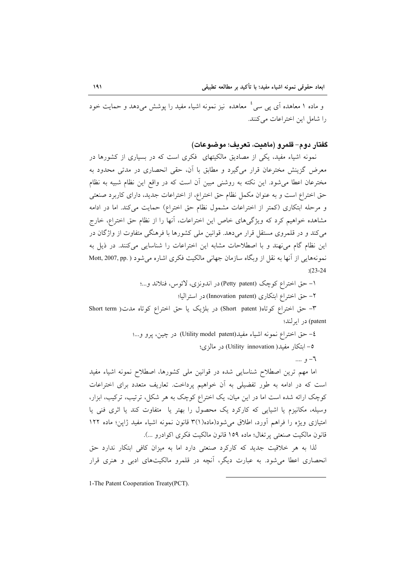و ماده ۱ معاهده اَی ی<sub>ی</sub> سی<sup>،</sup> معاهده نیز نمونه اشیاء مفید را پوشش میٖدهد و حمایت خود را شامل این اختراعات مے کنند.

#### گفتار دوم- قلمرو (ماهيت، تعريف؛ موضوعات)

نمونه اشیاء مفید، یکی از مصادیق مالکیتهای ِ فکری است که در بسیاری از کشورها در معرض گزینش مخترعان قرار میگیرد و مطابق با آن، حقی انحصاری در مدتی محدود به مخترعان اعطا می شود. این نکته به روشنی مبین آن است که در واقع این نظام شبیه به نظام حق اختراع است و به عنوان مكمل نظام حق اختراع، از اختراعات جديد، داراي كاربرد صنعتي و مرحله ابتکاری (کمتر از اختراعات مشمول نظام حق اختراع) حمایت میکند. اما در ادامه مشاهده خواهیم کرد که ویژگیهای خاص این اختراعات، آنها را از نظام حق اختراع، خارج می کند و در قلمروی مستقل قرار می دهد. قوانین ملی کشورها با فرهنگی متفاوت از واژگان در این نظام گام می نهند و با اصطلاحات مشابه این اختراعات را شناسایی میکنند. در ذیل به نمونههايي از آنها به نقل از وبگاه سازمان جهاني مالکيت فکري اشاره مي شود ( .Mott, 2007, pp  $: (23-24)$ 

> ۱– حق اختراع كوچک (Petty patent)در اندونزي، لائوس، فنلاند و...؛ ٢- حق اختراع ابتكارى (Innovation patent) در استراليا؛

٣- حق اختراع كوتاه( Short patent) در بلژيك يا حق اختراع كوتاه مدت( Short term patent) در ايرلند؛

> ٤– حق اختراع نمونه اشياء مفيد(Utility model patent) در چين، پرو و...؛ 0- ابتكار مفيد( Utility innovation) در مالزي؛ ٦– و ....

اما مهم ترین اصطلاح شناسایی شده در قوانین ملی کشورها، اصطلاح نمونه اشیاء مفید است که در ادامه به طور تفضیلی به آن خواهیم پرداخت. تعاریف متعدد برای اختراعات کوچک ارائه شده است اما در این میان، یک اختراع کوچک به هر شکل، ترتیب، ترکیب، ابزار، وسیله، مکانیزم یا اشیایی که کارکرد یک محصول را بهتر یا متفاوت کند یا اثری فنی یا امتیازی ویژه را فراهم آورد، اطلاق میشود(ماده(۱)۳ قانون نمونه اشیاء مفید ژاپن؛ ماده ۱۲۲ قانون مالكيت صنعتي يرتغال؛ ماده ١٥٩ قانون مالكيت فكرى اكوادرو ...).

لذا به هر خلاقیت جدید که کارکرد صنعتی دارد اما به میزان کافی ابتکار ندارد حق انحصاری اعطا می شود. به عبارت دیگر، آنچه در قلمرو مالکیتهای ادبی و هنری قرار

1-The Patent Cooperation Treaty(PCT).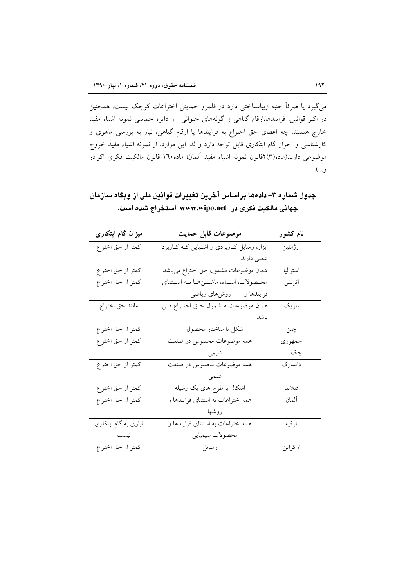میگیرد یا صرفاً جنبه زیباشناختی دارد در قلمرو حمایتی اختراعات کوچک نیست. همچنین در اکثر قوانین، فرایندها،ارقام گیاهی و گونههای حیوانی از دایره حمایتی نمونه اشیاء مفید خارج هستند، چه اعطای حق اختراع به فرایندها یا ارقام گیاهی، نیاز به بررسی ماهوی و کارشناسی و احراز گام ابتکاری قابل توجه دارد و لذا این موارد، از نمونه اشیاء مفید خروج موضوعی دارند(ماده(۳)۲قانون نمونه اشیاء مفید آلمان؛ ماده ۱٦۰ قانون مالکیت فکری اکوادر و…).

| جدول شماره ۳- دادهها براساس آخرین تغییرات قوانین ملی از وبگاه سازمان |  |
|----------------------------------------------------------------------|--|
| جهانی مالکیت فکری در www.wipo.net استخراج شده است.                   |  |

| میزان گام ابتکاری    | موضوعات قابل حمايت                          | نام کشور |
|----------------------|---------------------------------------------|----------|
| كمتر از حق اختراع    | ابزار، وسایل کـاربردی و اشـیایی کـه کـاربرد | آرژانتین |
|                      | عملى دارند                                  |          |
| كمتر از حق اختراع    | همان موضوعات مشمول حق اختراع مىباشد         | استراليا |
| كمتر از حق اختراع    | محصولات، اشـياء، ماشـينهـا بـه اسـتثناي     | اتريش    |
|                      | فرایندها و روشهای ریاضی                     |          |
| مانند حق اختراع      | همان موضوعات مــشمول حــق اختــراع مــى     | بلژيک    |
|                      | باشد                                        |          |
| كمتر از حق اختراع    | شكل يا ساختار محصول                         | چين      |
| كمتر از حق اختراع    | همه موضوعات محسوس در صنعت                   | جمهو ري  |
|                      | شیمی                                        | چک       |
| كمتر از حق اختراع    | همه موضوعات محسوس در صنعت                   | دانمارک  |
|                      | شیمی                                        |          |
| كمتر از حق اختراع    | اشکال یا طرح های یک وسیله                   | فنلاند   |
| كمتر از حق اختراع    | همه اختراعات به استثنای فرایندها و          | آلمان    |
|                      | روشها                                       |          |
| نیازی به گام ابتکاری | همه اختراعات به استثنای فرایندها و          | تركيه    |
| نيست                 | محصولات شيميايي                             |          |
| كمتر از حق اختراع    | وسايل                                       | اوكراين  |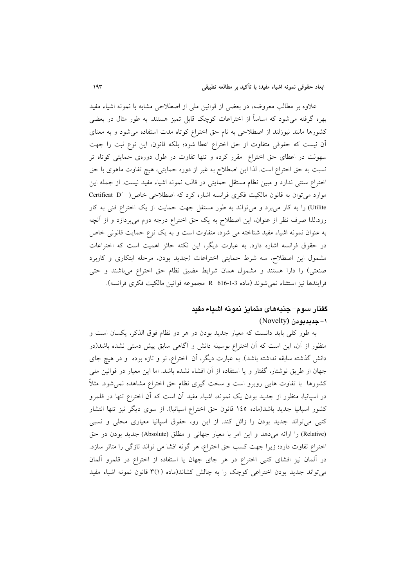علاوه بر مطالب معروضه، در بعضی از قوانین ملی از اصطلاحی مشابه با نمونه اشیاء مفید بهره گرفته می شود که اساساً از اختراعات کوچک قابل تمیز هستند. به طور مثال در بعضی کشورها مانند نیوزلند از اصطلاحی به نام حق اختراع کوتاه مدت استفاده می شود و به معنای آن نیست که حقوقی متفاوت از حق اختراع اعطا شود؛ بلکه قانون، این نوع ثبت را جهت سهولت در اعطای حق اختراع مقرر کرده و تنها تفاوت در طول دورهی حمایتی کوتاه تر نسبت به حق اختراع است. لذا این اصطلاح به غیر از دوره حمایتی، هیچ تفاوت ماهوی با حق اختراع سنتی ندارد و مبین نظام مستقل حمایتی در قالب نمونه اشیاء مفید نیست. از جمله این موارد می توان به قانون مالکیت فکری فرانسه اشاره کرد که اصطلاحی خاص( Certificat D' Utilite) را به کار میبرد و میتواند به طور مستقل جهت حمایت از یک اختراع فنی به کار رود.لذا صرف نظر از عنوان، این اصطلاح به یک حق اختراع درجه دوم می پردازد و از آنچه به عنوان نمونه اشیاء مفید شناخته می شود، متفاوت است و به یک نوع حمایت قانونی خاص در حقوق فرانسه اشاره دارد. به عبارت دیگر، این نکته حائز اهمیت است که اختراعات مشمول این اصطلاح، سه شرط حمایتی اختراعات (جدید بودن، مرحله ابتکاری و کاربرد صنعتی) را دارا هستند و مشمول همان شرایط مضیق نظام حق اختراع میباشند و حتی فرايندها نيز استثناء نمي شوند (ماده 3-1-16 R 616 مجموعه قوانين مالكيت فكرى فرانسه).

## گفتار سوم– جنبههای متمایز نمونه اشیاء مفید ١- جدىدبودن (Novelty)

به طور كلَّى بايد دانست كه معيار جديد بودن در هر دو نظام فوق الذكر، يكسان است و منظور از آن، این است که آن اختراع بوسیله دانش و آگاهی سابق پیش دستی نشده باشد(در دانش گذشته سابقه نداشته باشد). به عبارت دیگر، آن اختراع، نو و تازه بوده و در هیچ جای جهان از طریق نوشتار، گفتار و یا استفاده از آن افشاء نشده باشد. اما این معیار در قوانین ملی کشورها با تفاوت هایی روبرو است و سخت گیری نظام حق اختراع مشاهده نمی شود. مثلاً در اسپانیا، منظور از جدید بودن یک نمونه، اشیاء مفید آن است که آن اختراع تنها در قلمرو كشور اسپانيا جديد باشد(ماده ١٤٥ قانون حق اختراع اسپانيا). از سوى ديگر نيز تنها انتشار کتبی میتواند جدید بودن را زائل کند. از این رو، حقوق اسپانیا معیاری محلی و نسبی (Relative) را ارائه می دهد و این امر با معیار جهانی و مطلق (Absolute) جدید بودن در حق اختراع تفاوت دارد؛ زیرا جهت کسب حق اختراع، هر گونه افشا می تواند تازگی را متاثر سازد. در آلمان نیز افشای کتبی اختراع در هر جای جهان یا استفاده از اختراع در قلمرو آلمان می تواند جدید بودن اختراعی کوچک را به چالش کشاند(ماده (۳(۱ قانون نمونه اشیاء مفید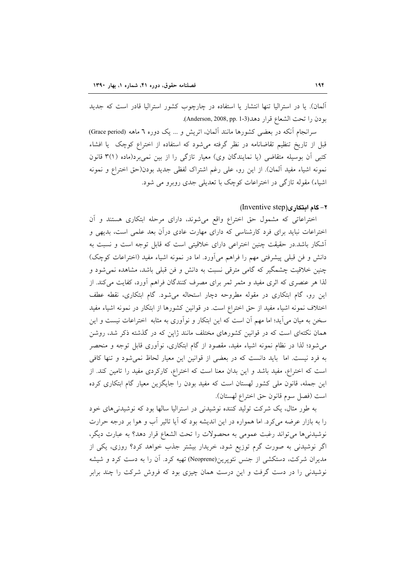آلمان). یا در استرالیا تنها انتشار یا استفاده در چارچوب کشور استرالیا قادر است که جدید بودن را تحت الشعاع قرار دهد(3-1 .Anderson, 2008, pp. 1).

سرانجام آنکه در بعضی کشورها مانند آلمان، اتریش و ... یک دوره ٦ ماهه (Grace period) قبل از تاریخ تنظیم تقاضانامه در نظر گرفته میشود که استفاده از اختراع کوچک یا افشاء کتبی آن بوسیله متقاضی (یا نمایندگان وی) معیار تازگی را از بین نمیبرد(ماده (۳(۱ قانون نمونه اشياء مفيد آلمان). از اين رو، على رغم اشتراك لفظي جديد بودن(حق اختراع و نمونه اشیاء) مقوله تازگی در اختراعات کوچک با تعدیلی جدی روبرو می شود.

#### ۲- گام ابتکاری(Inventive step)

اختراعاتی که مشمول حق اختراع واقع میشوند، دارای مرحله ابتکاری هستند و آن اختراعات نباید برای فرد کارشناسی که دارای مهارت عادی درآن بعد علمی است، بدیهی و أشكار باشد.در حقيقت چنين اختراعي داراي خلاقيتي است كه قابل توجه است و نسبت به دانش و فن قبلي پيشرفتي مهم را فراهم مي آورد. اما در نمونه اشياء مفيد (اختراعات كوچک) چنین خلاقیت چشمگیر که گامی مترقی نسبت به دانش و فن قبلی باشد، مشاهده نمیشود و لذا هر عنصری که اثری مفید و مثمر ثمر برای مصرف کنندگان فراهم آورد، کفایت میکند. از این رو، گام ابتکاری در مقوله مطروحه دچار استحاله می شود. گام ابتکاری، نقطه عطف اختلاف نمونه اشیاء مفید از حق اختراع است. در قوانین کشورها از ابتکار در نمونه اشیاء مفید سخن به میان می آید؛ اما مهم آن است که این ابتکار و نوآوری به مثابه اختراعات نیست و این همان نکتهای است که در قوانین کشورهای مختلف مانند ژاپن که در گذشته ذکر شد، روشن می شود؛ لذا در نظام نمونه اشیاء مفید، مقصود از گام ابتکاری، نوآوری قابل توجه و منحصر به فرد نیست. اما باید دانست که در بعضی از قوانین این معیار لحاظ نمی شود و تنها کافی است که اختراع، مفید باشد و این بدان معنا است که اختراع، کارکردی مفید را تامین کند. از این جمله، قانون ملی کشور لهستان است که مفید بودن را جایگزین معیار گام ابتکاری کرده است (فصل سوم قانون حق اختراع لهستان).

به طور مثال، یک شرکت تولید کننده نوشیدنی در استرالیا سالها بود که نوشیدنی های خود را به بازار عرضه میکرد. اما همواره در این اندیشه بود که اَیا تاثیر اَب و هوا بر درجه حرارت نوشیدنیها میتواند رغبت عمومی به محصولات را تحت الشعاع قرار دهد؟ به عبارت دیگر، اگر نوشیدنی به صورت گرم توزیع شود، خریدار بیشتر جذب خواهد کرد؟ روزی، یکی از مدیران شرکت، دستکشی از جنس نئویرین(Neoprene) تھیه کرد. اَن را به دست کرد و شیشه نوشیدنی را در دست گرفت و این درست همان چیزی بود که فروش شرکت را چند برابر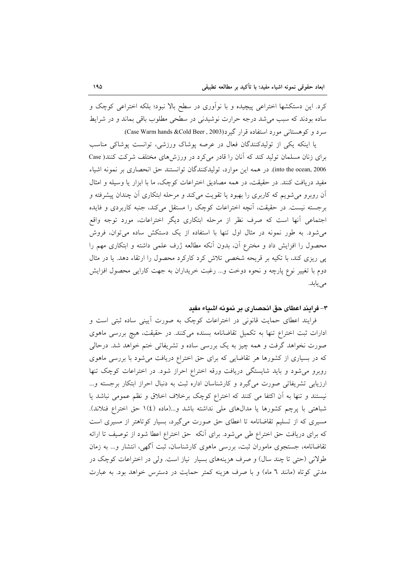کرد. این دستکشها اختراعی پیچیده و با نوآوری در سطح بالا نبود؛ بلکه اختراعی کوچک و ساده بودند که سبب می شد درجه حرارت نوشیدنی در سطحی مطلوب باقی بماند و در شرایط سرد و کوهستانی مورد استفاده قرار گیرد(Case Warm hands &Cold Beer , 2003).

یا اینکه یکی از تولیدکنندگان فعال در عرصه پوشاک ورزشی، توانست پوشاکی مناسب برای زنان مسلمان تولید کند که آنان را قادر می کرد در ورزش های مختلف شرکت کنند( Case into the ocean, 2006). در همه این موارد، تولیدکنندگان توانستند حق انحصاری بر نمونه اشیاء مفید دریافت کنند. در حقیقت، در همه مصادیق اختراعات کوچک، ما با ابزار یا وسیله و امثال آن روبرو می شویم که کاربری را بهبود یا تقویت میکند و مرحله ابتکاری آن چندان پیشرفته و برجسته نیست. در حقیقت، آنچه اختراعات کوچک را مستقل میکند، جنبه کاربردی و فایده اجتماعی أنها است که صرف نظر از مرحله ابتکاری دیگر اختراعات، مورد توجه واقع می شود. به طور نمونه در مثال اول تنها با استفاده از یک دستکش ساده می توان، فروش محصول را افزایش داد و مخترع آن، بدون أنكه مطالعه ژرف علمی داشته و ابتكاری مهم را پی ریزی کند، با تکیه بر قریحه شخصی تلاش کرد کارکرد محصول را ارتقاء دهد. یا در مثال دوم با تغییر نوع پارچه و نحوه دوخت و… رغبت خریداران به جهت کارایی محصول افزایش مي يابد.

#### ٣- فرايند اعطاى حق انحصارى بر نمونه اشياء مفيد

فرایند اعطای حمایت قانونی در اختراعات کوچک به صورت آیینی ساده ثبتی است و ادارات ثبت اختراع تنها به تكميل تقاضانامه بسنده می كنند. در حقيقت، هيچ بررسي ماهوى صورت نخواهد گرفت و همه چیز به یک بررسی ساده و تشریفاتی ختم خواهد شد. درحالی که در بسیاری از کشورها هر تقاضایی که برای حق اختراع دریافت می شود با بررسی ماهوی روبرو می شود و باید شایستگی دریافت ورقه اختراع احراز شود. در اختراعات کوچک تنها ارزیابی تشریفاتی صورت میگیرد و کارشناسان اداره ثبت به دنبال احراز ابتکار برجسته و... نیستند و تنها به آن اکتفا می کنند که اختراع کوچک برخلاف اخلاق و نظم عمومی نباشد یا شباهتي با يرجِم كشورها يا مدالهاي ملي نداشته باشد و...(ماده (١)١ حق اختراع فنلاند). مسیری که از تسلیم تقاضانامه تا اعطای حق صورت میگیرد، بسیار کوتاهتر از مسیری است که برای دریافت حق اختراع طی میشود. برای اَنکه حق اختراع اعطا شود از توصیف تا ارائه تقاضانامه، جستجوی ماموران ثبت، بررسی ماهوی کارشناسان، ثبت آگهی، انتشار و... به زمان طولانی (حتی تا چند سال) و صرف هزینههای بسیار نیاز است. ولی در اختراعات کوچک در مدتی کوتاه (مانند ٦ ماه) و با صرف هزینه کمتر حمایت در دسترس خواهد بود. به عبارت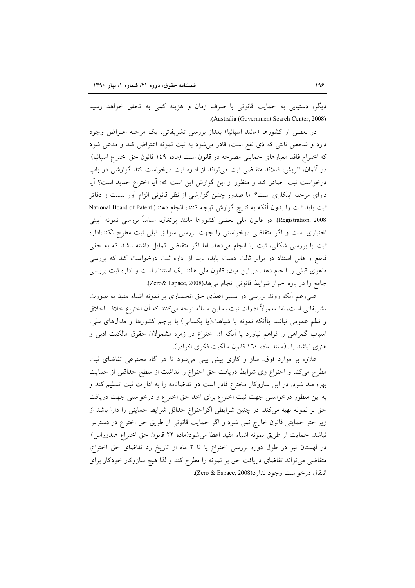دیگر، دستیابی به حمایت قانونی با صرف زمان و هزینه کمی به تحقق خواهد رسید .(Australia (Government Search Center, 2008)

در بعضی از کشورها (مانند اسپانیا) بعداز بررسی تشریفاتی، یک مرحله اعتراض وجود دارد و شخص ثالثی که ذی نفع است، قادر میشود به ثبت نمونه اعتراض کند و مدعی شود كه اختراع فاقد معيارهاي حمايتي مصرحه در قانون است (ماده ١٤٩ قانون حق اختراع اسيانيا). در آلمان، اتریش، فنلاند متقاضی ثبت میتواند از اداره ثبت درخواست کند گزارشی در باب درخواست ثبت صادر كند و منظور از اين گزارش اين است كه: آيا اختراع جديد است؟ آيا دارای مرحله ابتکاری است؟ اما صدور چنین گزارشی از نظر قانونی الزام آور نیست و دفاتر ثبت باید ثبت را بدون آنکه به نتایج گزارش توجه کنند، انجام دهند( National Board of Patent Registration, 2008). در قانون ملي بعضي كشورها مانند يرتغال، اساساً بررسي نمونه آييني اختیاری است و اگر متقاضی درخواستی را جهت بررسی سوابق قبلی ثبت مطرح نکند،اداره ثبت با بررسی شکلی، ثبت را انجام میدهد. اما اگر متقاضی تمایل داشته باشد که به حقی قاطع و قابل استناد در برابر ثالث دست یابد، باید از اداره ثبت درخواست کند که بررسی ماهوی قبلی را انجام دهد. در این میان، قانون ملی هلند یک استثناء است و اداره ثبت بررسی جامع را در باره احراز شرايط قانوني انجام مي هد(Zero& Espace, 2008).

علی رغم آنکه روند بررسی در مسیر اعطای حق انحصاری بر نمونه اشیاء مفید به صورت تشریفاتی است، اما معمولاً ادارات ثبت به این مساله توجه میکنند که آن اختراع خلاف اخلاق و نظم عمومی نباشد یاآنکه نمونه با شباهت(یا یکسانی) با پرچم کشورها و مدالهای ملی، اسباب گمراهی را فراهم نیاورد یا آنکه آن اختراع در زمره مشمولان حقوق مالکیت ادبی و هنری نباشد یا...(مانند ماده ۱٦۰ قانون مالکیت فکری اکوادر).

علاوه بر موارد فوق، ساز و کاری پیش بینی می شود تا هر گاه مخترعی تقاضای ثبت مطرح میکند و اختراع وی شرایط دریافت حق اختراع را نداشت از سطح حداقلی از حمایت بهره مند شود. در این سازوکار مخترع قادر است دو تقاضانامه را به ادارات ثبت تسلیم کند و به این منظور درخواستی جهت ثبت اختراع برای اخذ حق اختراع و درخواستی جهت دریافت حق بر نمونه تهیه میکند. در چنین شرایطی اگراختراع حداقل شرایط حمایتی را دارا باشد از زیر چتر حمایتی قانون خارج نمی شود و اگر حمایت قانونی از طریق حق اختراع در دسترس نباشد، حمايت از طريق نمونه اشياء مفيد اعطا مي شود(ماده ٢٢ قانون حق اختراع هندوراس). در لهستان نیز در طول دوره بررسی اختراع یا تا ۲ ماه از تاریخ رد تقاضای حق اختراع، متقاضی میتواند تقاضای دریافت حق بر نمونه را مطرح کند و لذا هیچ سازوکار خودکار برای انتقال درخواست وجود ندارد(Zero & Espace, 2008).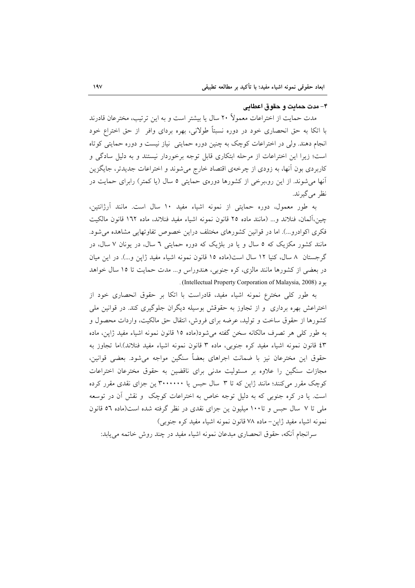#### ۴– مدت حمائت و حقوق اعطائی

مدت حمایت از اختراعات معمولاً ۲۰ سال یا بیشتر است و به این تر تیب، مخترعان قادرند با اتکا به حق انحصاری خود در دوره نسبتاً طولانی، بهره بردای وافر ً از حق اختراع خود انجام دهند. ولی در اختراعات کوچک به چنین دوره حمایتی نیاز نیست و دوره حمایتی کوتاه است؛ زیرا این اختراعات از مرحله ابتکاری قابل توجه برخوردار نیستند و به دلیل سادگی و کاربردی بون آنها، به زودی از چرخهی اقتصاد خارج میشوند و اختراعات جدیدتر، جایگزین آنها می شوند. از این رو،برخی از کشورها دورهی حمایتی ٥ سال (یا کمتر) رابرای حمایت در نظر مي گيرند.

به طور معمول، دوره حمايتي از نمونه اشياء مفيد ١٠ سال است. مانند آرژانتين، چین،آلمان، فنلاند و… (مانند ماده ۲۵ قانون نمونه اشیاء مفید فنلاند، ماده ۱٦۲ قانون مالکیت فکری اکوادرو…). اما در قوانین کشورهای مختلف دراین خصوص تفاوتهایی مشاهده می شود. مانند کشور مکزیک که ۵ سال و یا در بلژیک که دوره حمایتی ٦ سال، در یونان ٧ سال، در گرجستان ٨ سال، كنيا ١٢ سال است(ماده ١٥ قانون نمونه اشياء مفيد ژاپن و...). در اين ميان در بعضی از کشورها مانند مالزی، کره جنوبی، هندوراس و... مدت حمایت تا ۱۵ سال خواهد . (Intellectual Property Corporation of Malaysia, 2008).

به طور کلی مخترع نمونه اشیاء مفید، قادراست با اتکا بر حقوق انحصاری خود از اختراعش بهره برداری و از تجاوز به حقوقش بوسیله دیگران جلوگیری کند. در قوانین ملی کشورها از حقوق ساخت و تولید، عرضه برای فروش، انتقال حق مالکیت، واردات محصول و به طور کلبی هر تصرف مالکانه سخن گفته میشود(ماده ۱۵ قانون نمونه اشیاء مفید ژاپن، ماده ٤٣ قانون نمونه اشياء مفيد كره جنوبي، ماده ٣ قانون نمونه اشياء مفيد فنلاند).اما تجاوز به حقوق این مخترعان نیز با ضمانت اجراهای بعضاً سنگین مواجه می شود. بعضی قوانین، مجازات سنگین را علاوه بر مسئولیت مدنی برای ناقضین به حقوق مخترعان اختراعات کوچک مقرر میکنند؛ مانند ژاپن که تا ۳ سال حبس یا ۳۰۰۰۰۰۰ پن جزای نقدی مقرر کرده است. یا در کره جنوبی که به دلیل توجه خاص به اختراعات کوچک و نقش آن در توسعه ملي تا ٧ سال حسن و تا١٠٠ ميليون بن جزاي نقدي در نظر گرفته شده است(ماده ٥٦ قانون نمونه اشياء مفيد ژاين– ماده ٧٨ قانون نمونه اشياء مفيد كره جنوبي)

سرانجام آنکه، حقوق انحصاری مبدعان نمونه اشیاء مفید در چند روش خاتمه می یابد: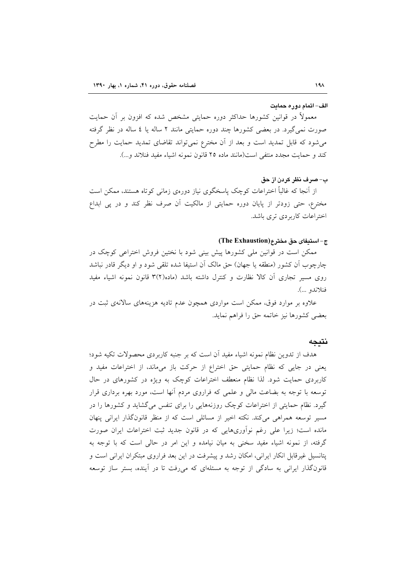#### الف- اتمام دوره حمايت

معمولاً در قوانین کشورها حداکثر دوره حمایتی مشخص شده که افزون بر آن حمایت صورت نمی گیرد. در بعضی کشورها چند دوره حمایتی مانند ۲ ساله یا ٤ ساله در نظر گرفته می شود که قابل تمدید است و بعد از أن مخترع نمی تواند تقاضای تمدید حمایت را مطرح كند و حمايت مجدد منتفى است(مانند ماده ٢٥ قانون نمونه اشياء مفيد فنلاند و...).

#### ب– صرف نظر کردن از حق

از اّنجا که غالباً اختراعات کوچک پاسخگوی نیاز دورهی زمانی کوتاه هستند، ممکن است مخترع، حتى زودتر از پايان دوره حمايتي از مالكيت آن صرف نظر كند و در پي ابداع اختراعات كاربر دي تري باشد.

#### ج-استيفاى حق مخترع(The Exhaustion)

ممکن است در قوانین ملی کشورها پیش بینی شود با نختین فروش اختراعی کوچک در چارچوب آن کشور (منطقه یا جهان) حق مالک آن استیفا شده تلقی شود و او دیگر قادر نباشد روی مسیر تجاری أن كالا نظارت و كنترل داشته باشد (ماده(٢) قانون نمونه اشیاء مفید فنلاندو …).

علاوه بر موارد فوق، ممکن است مواردی همچون عدم تادیه هزینههای سالانهی ثبت در بعضي كشورها نيز خاتمه حق را فراهم نمايد.

#### نتىجە

هدف از تدوین نظام نمونه اشیاء مفید آن است که بر جنبه کاربردی محصولات تکیه شود؛ یعنی در جایی که نظام حمایتی حق اختراع از حرکت باز میماند، از اختراعات مفید و کاربردی حمایت شود. لذا نظام منعطف اختراعات کوچک به ویژه در کشورهای در حال توسعه با توجه به بضاعت مالی و علمی که فراروی مردم أنها است، مورد بهره برداری قرار گیرد. نظام حمایتی از اختراعات کوچک روزنههایی را برای تنفس می گشاید و کشورها را در مسیر توسعه همراهی میکند. نکته اخیر از مسائلی است که از منظر قانونگذار ایرانی پنهان مانده است؛ زیرا علی رغم نوآوریهایی که در قانون جدید ثبت اختراعات ایران صورت گرفته، از نمونه اشیاء مفید سخنی به میان نیامده و این امر در حالی است که با توجه به یتانسیل غیر قابل انکار ایرانی، امکان رشد و پیشرفت در این بعد فراروی مبتکران ایرانی است و قانونگذار ایرانی به سادگی از توجه به مسئلهای که میرفت تا در اًینده، بستر ساز توسعه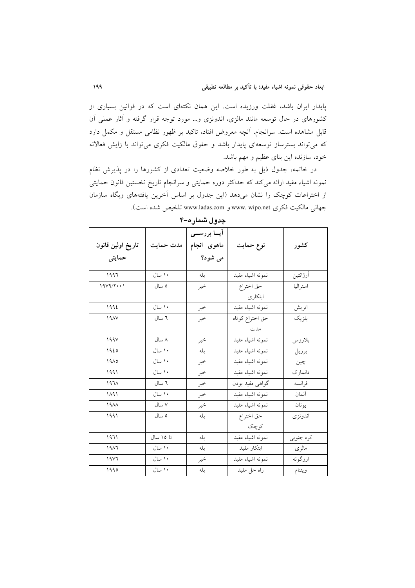پایدار ایران باشد، غفلت ورزیده است. این همان نکتهای است که در قوانین بسیاری از کشورهای در حال توسعه مانند مالزی، اندونزی و... مورد توجه قرار گرفته و آثار عملی آن قابل مشاهده است. سرانجام، آنچه معروض افتاد، تاکید بر ظهور نظامی مستقل و مکمل دارد که میتواند بسترساز توسعهای پایدار باشد و حقوق مالکیت فکری میتواند با زایش فعالانه خود، سازنده این بنای عظیم و مهم باشد.

در خاتمه، جدول ذیل به طور خلاصه وضعیت تعدادی از کشورها را در پذیرش نظام نمونه اشیاء مفید ارائه میکند که حداکثر دوره حمایتی و سرانجام تاریخ نخستین قانون حمایتی از اختراعات کوچک را نشان میدهد (این جدول بر اساس آخرین یافتههای وبگاه سازمان جهاني مالكيت فكري www. wipo.net و www.ladas.com تلخيص شده است).

|                   |           | ایسا بررسسی |                  |           |
|-------------------|-----------|-------------|------------------|-----------|
| تاريخ اولين قانون | مدت حمايت | ماهوى انجام | نوع حمايت        | كشور      |
| حمايتى            |           | می شود؟     |                  |           |
| ۱۹۹٦              | ۱۰ سال    | بله         | نمونه اشياء مفيد | أرژانتين  |
| 19V9/Y            | ه سال     | خير         | حق اختراع        | استراليا  |
|                   |           |             | ابتكارى          |           |
| 1992              | ۱۰ سال    | خير         | نمونه اشياء مفيد | اتريش     |
| 19AV              | ٦ سال     | خير         | حق اختراع كوتاه  | بلژيک     |
|                   |           |             | مدت              |           |
| 199V              | ۸ سال     | خير         | نمونه اشياء مفيد | بلاروس    |
| 1920              | ۱۰ سال    | بله         | نمونه اشياء مفيد | برزيل     |
| 1910              | ۱۰ سال    | خير         | نمونه اشياء مفيد | چين       |
| ۱۹۹۱              | ۱۰ سال    | خير         | نمونه اشياء مفيد | دانمارک   |
| ۱۹٦۸              | ٦ سال     | خير         | گواهي مفيد بودن  | فرانسه    |
| 1191              | ۱۰ سال    | خير         | نمونه اشياء مفيد | ألمان     |
| 19 <sub>AA</sub>  | ۷ سال     | خير         | نمونه اشياء مفيد | يونان     |
| 1991              | ٥ سال     | بله         | حق اختراع        | اندونزى   |
|                   |           |             | كوچك             |           |
| ۱۹٦۱              | تا ۱۵ سال | بله         | نمونه اشياء مفيد | كره جنوبي |
| ۱۹۸٦              | ۱۰ سال    | بله         | ابتكار مفيد      | مالزى     |
| 1917              | ۱۰ سال    | خير         | نمونه اشياء مفيد | اروگوئه   |
| ۱۹۹٥              | ۱۰ سال    | بله         | راه حل مفيد      | ويتنام    |

جدول شماره-۴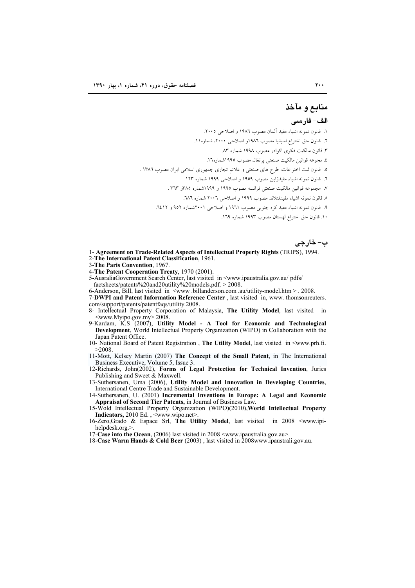## منابع و مآخذ

#### الف- فارسے

ب- خارجي

١. قانون نمونه إشباء مفيد آلمان مصوب ١٩٨٦ و إصلاحي ٢٠٠٥.

٢. قانون حق اختراع اسپانیا مصوب ١٩٨٦و اصلاحی ٢٠٠٠، شماره١١.

۳. قانون مالکیت فکری اکوادر مصوب ۱۹۹۸ شماره ۸۳.

٤. مجوعه قوانين مالكيت صنعتى پرتغال مصوب ١٩٩٥شماره١٦.

٥. قانون ثبت اختراعات، طرح های صنعتی و علائم تجاری جمهوری اسلامی ایران مصوب ١٣٨٦ .

٦. قانون نمونه اشياء مفيدژاپن مصوب ١٩٥٩ و اصلاحي ١٩٩٩ شماره ١٢٣.

٧. مجموعه قوانين مالكيت صنعتي فرانسه مصوب ١٩٩٥ و ١٩٩٩شماره ٣٨٥و ٣٦٣ .

٨. قانون نمونه اشياء مفيدفنلاند مصوب ١٩٩٩ و اصلاحي ٢٠٠٦ شماره ٦٨٦.

۹. قانون نمونه اشياء مفيد كره جنوبي مصوب ۱۹۶۱ و اصلاحي ۲۰۰۱شماره ۹۵۲ و ۲۱۲.

١٠. قانون حق اختراع لهستان مصوب ١٩٩٣ شماره ١٦٩.

1- Agreement on Trade-Related Aspects of Intellectual Property Rights (TRIPS), 1994.

2-The International Patent Classification, 1961.

3-The Paris Convention, 1967.

4-The Patent Cooperation Treaty, 1970 (2001).

5-AusraliaGovernment Search Center, last visited in <www.ipaustralia.gov.au/ pdfs/ factsheets/patents%20and20utility%20models.pdf.  $>$  2008.

6-Anderson, Bill, last visited in <www.billanderson.com .au/utility-model.htm > . 2008. 7-DWPI and Patent Information Reference Center, last visited in, www. thomsonreuters.

com/support/patents/patentfaqs/utility.2008.

8- Intellectual Property Corporation of Malaysia, The Utility Model, last visited in <www.Myipo.gov.my>2008.

9-Kardam, K.S (2007), Utility Model - A Tool for Economic and Technological Development, World Intellectual Property Organization (WIPO) in Collaboration with the Japan Patent Office.

10- National Board of Patent Registration . The Utility Model, last visited in <www.prh.fi.  $>2008$ 

11-Mott, Kelsey Martin (2007) The Concept of the Small Patent, in The International Business Executive, Volume 5, Issue 3.

12-Richards, John(2002), Forms of Legal Protection for Technical Invention, Juries Publishing and Sweet & Maxwell.

13-Suthersanen, Uma (2006), Utility Model and Innovation in Developing Countries. International Centre Trade and Sustainable Development.

14-Suthersanen, U. (2001) Incremental Inventions in Europe: A Legal and Economic Appraisal of Second Tier Patents, in Journal of Business Law.

15-Wold Intellectual Property Organization (WIPO)(2010), World Intellectual Property Indicators, 2010 Ed., <www.wipo.net>

16-Zero, Grado & Espace Srl, The Utility Model, last visited in  $2008$  <www.ipihelpdesk.org.>

17-Case into the Ocean, (2006) last visited in 2008  $\leq$ www.ipaustralia.gov.au>.

18-Case Warm Hands & Cold Beer (2003), last visited in 2008www.ipaustrali.gov.au.